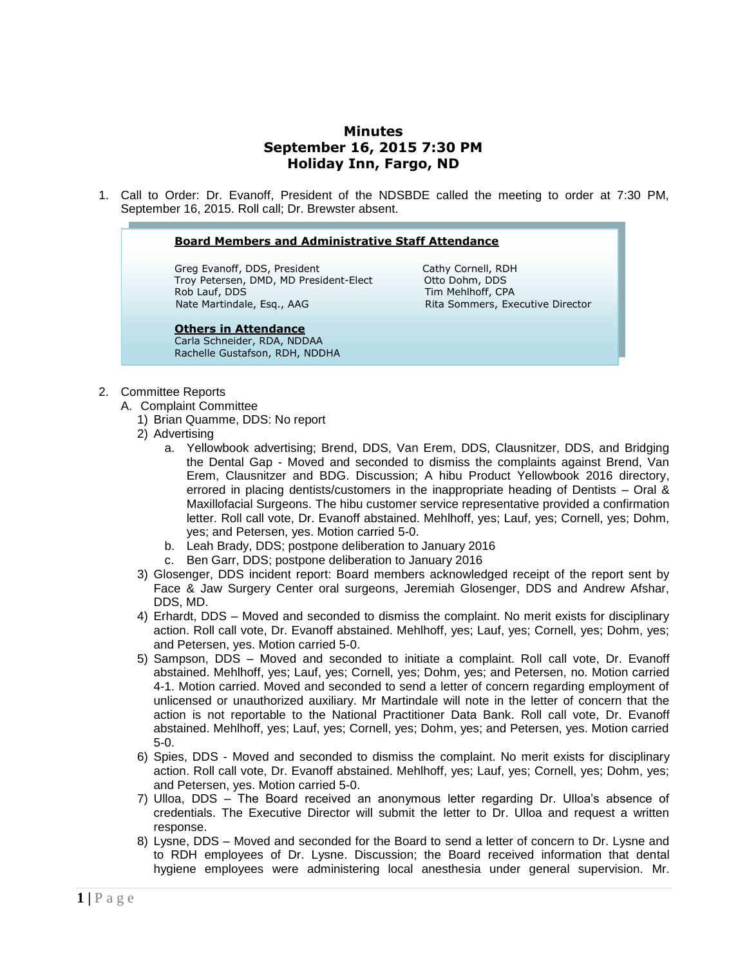## **Minutes September 16, 2015 7:30 PM Holiday Inn, Fargo, ND**

1. Call to Order: Dr. Evanoff, President of the NDSBDE called the meeting to order at 7:30 PM, September 16, 2015. Roll call; Dr. Brewster absent.

#### **Board Members and Administrative Staff Attendance**

Greg Evanoff, DDS, President Cathy Cornell, RDH Troy Petersen, DMD, MD President-Elect Otto Dohm, DDS Rob Lauf, DDS Tim Mehlhoff, CPA Nate Martindale, Esq., AAG Rita Sommers, Executive Director

### **Others in Attendance**

Carla Schneider, RDA, NDDAA Rachelle Gustafson, RDH, NDDHA

- 2. Committee Reports
	- A. Complaint Committee
		- 1) Brian Quamme, DDS: No report
		- 2) Advertising
			- a. Yellowbook advertising; Brend, DDS, Van Erem, DDS, Clausnitzer, DDS, and Bridging the Dental Gap - Moved and seconded to dismiss the complaints against Brend, Van Erem, Clausnitzer and BDG. Discussion; A hibu Product Yellowbook 2016 directory, errored in placing dentists/customers in the inappropriate heading of Dentists  $-$  Oral & Maxillofacial Surgeons. The hibu customer service representative provided a confirmation letter. Roll call vote, Dr. Evanoff abstained. Mehlhoff, yes; Lauf, yes; Cornell, yes; Dohm, yes; and Petersen, yes. Motion carried 5-0.
			- b. Leah Brady, DDS; postpone deliberation to January 2016
			- c. Ben Garr, DDS; postpone deliberation to January 2016
		- 3) Glosenger, DDS incident report: Board members acknowledged receipt of the report sent by Face & Jaw Surgery Center oral surgeons, Jeremiah Glosenger, DDS and Andrew Afshar, DDS, MD.
		- 4) Erhardt, DDS Moved and seconded to dismiss the complaint. No merit exists for disciplinary action. Roll call vote, Dr. Evanoff abstained. Mehlhoff, yes; Lauf, yes; Cornell, yes; Dohm, yes; and Petersen, yes. Motion carried 5-0.
		- 5) Sampson, DDS Moved and seconded to initiate a complaint. Roll call vote, Dr. Evanoff abstained. Mehlhoff, yes; Lauf, yes; Cornell, yes; Dohm, yes; and Petersen, no. Motion carried 4-1. Motion carried. Moved and seconded to send a letter of concern regarding employment of unlicensed or unauthorized auxiliary. Mr Martindale will note in the letter of concern that the action is not reportable to the National Practitioner Data Bank. Roll call vote, Dr. Evanoff abstained. Mehlhoff, yes; Lauf, yes; Cornell, yes; Dohm, yes; and Petersen, yes. Motion carried 5-0.
		- 6) Spies, DDS Moved and seconded to dismiss the complaint. No merit exists for disciplinary action. Roll call vote, Dr. Evanoff abstained. Mehlhoff, yes; Lauf, yes; Cornell, yes; Dohm, yes; and Petersen, yes. Motion carried 5-0.
		- 7) Ulloa, DDS The Board received an anonymous letter regarding Dr. Ulloa's absence of credentials. The Executive Director will submit the letter to Dr. Ulloa and request a written response.
		- 8) Lysne, DDS Moved and seconded for the Board to send a letter of concern to Dr. Lysne and to RDH employees of Dr. Lysne. Discussion; the Board received information that dental hygiene employees were administering local anesthesia under general supervision. Mr.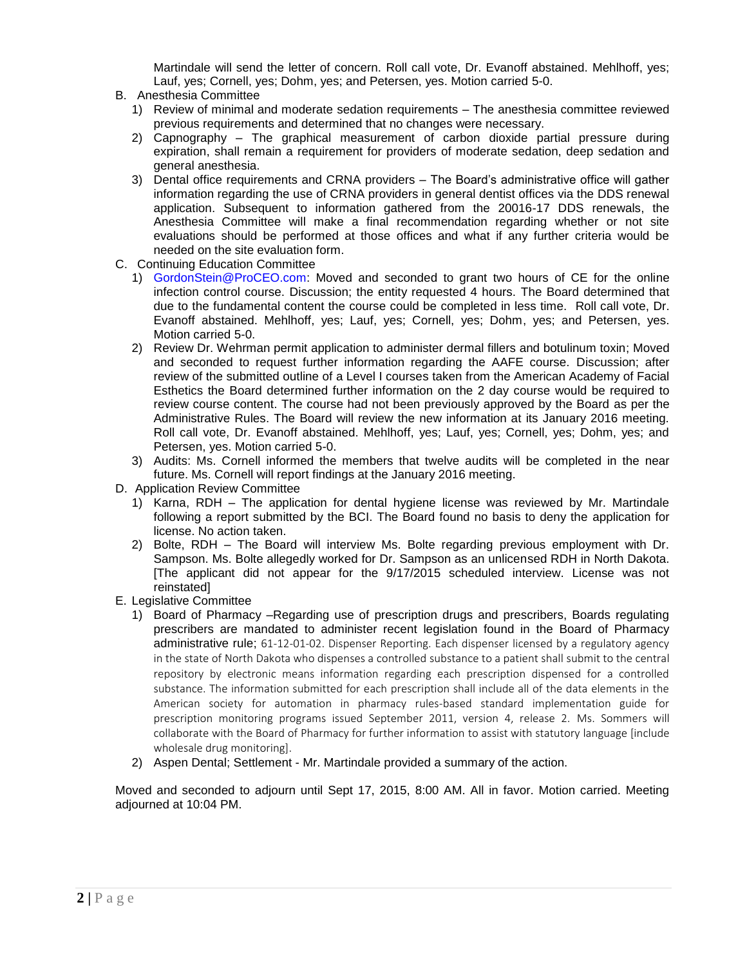Martindale will send the letter of concern. Roll call vote, Dr. Evanoff abstained. Mehlhoff, yes; Lauf, yes; Cornell, yes; Dohm, yes; and Petersen, yes. Motion carried 5-0.

- B. Anesthesia Committee
	- 1) Review of minimal and moderate sedation requirements The anesthesia committee reviewed previous requirements and determined that no changes were necessary.
	- 2) Capnography The graphical measurement of carbon dioxide partial pressure during expiration, shall remain a requirement for providers of moderate sedation, deep sedation and general anesthesia.
	- 3) Dental office requirements and CRNA providers The Board's administrative office will gather information regarding the use of CRNA providers in general dentist offices via the DDS renewal application. Subsequent to information gathered from the 20016-17 DDS renewals, the Anesthesia Committee will make a final recommendation regarding whether or not site evaluations should be performed at those offices and what if any further criteria would be needed on the site evaluation form.
- C. Continuing Education Committee
	- 1) [GordonStein@ProCEO.com:](mailto:GordonStein@ProCEO.com) Moved and seconded to grant two hours of CE for the online infection control course. Discussion; the entity requested 4 hours. The Board determined that due to the fundamental content the course could be completed in less time. Roll call vote, Dr. Evanoff abstained. Mehlhoff, yes; Lauf, yes; Cornell, yes; Dohm, yes; and Petersen, yes. Motion carried 5-0.
	- 2) Review Dr. Wehrman permit application to administer dermal fillers and botulinum toxin; Moved and seconded to request further information regarding the AAFE course. Discussion; after review of the submitted outline of a Level I courses taken from the American Academy of Facial Esthetics the Board determined further information on the 2 day course would be required to review course content. The course had not been previously approved by the Board as per the Administrative Rules. The Board will review the new information at its January 2016 meeting. Roll call vote, Dr. Evanoff abstained. Mehlhoff, yes; Lauf, yes; Cornell, yes; Dohm, yes; and Petersen, yes. Motion carried 5-0.
	- 3) Audits: Ms. Cornell informed the members that twelve audits will be completed in the near future. Ms. Cornell will report findings at the January 2016 meeting.
- D. Application Review Committee
	- 1) Karna, RDH The application for dental hygiene license was reviewed by Mr. Martindale following a report submitted by the BCI. The Board found no basis to deny the application for license. No action taken.
	- 2) Bolte, RDH The Board will interview Ms. Bolte regarding previous employment with Dr. Sampson. Ms. Bolte allegedly worked for Dr. Sampson as an unlicensed RDH in North Dakota. [The applicant did not appear for the 9/17/2015 scheduled interview. License was not reinstated]
- E. Legislative Committee
	- 1) Board of Pharmacy –Regarding use of prescription drugs and prescribers, Boards regulating prescribers are mandated to administer recent legislation found in the Board of Pharmacy administrative rule; 61-12-01-02. Dispenser Reporting. Each dispenser licensed by a regulatory agency in the state of North Dakota who dispenses a controlled substance to a patient shall submit to the central repository by electronic means information regarding each prescription dispensed for a controlled substance. The information submitted for each prescription shall include all of the data elements in the American society for automation in pharmacy rules-based standard implementation guide for prescription monitoring programs issued September 2011, version 4, release 2. Ms. Sommers will collaborate with the Board of Pharmacy for further information to assist with statutory language [include wholesale drug monitoring].
	- 2) Aspen Dental; Settlement Mr. Martindale provided a summary of the action.

Moved and seconded to adjourn until Sept 17, 2015, 8:00 AM. All in favor. Motion carried. Meeting adjourned at 10:04 PM.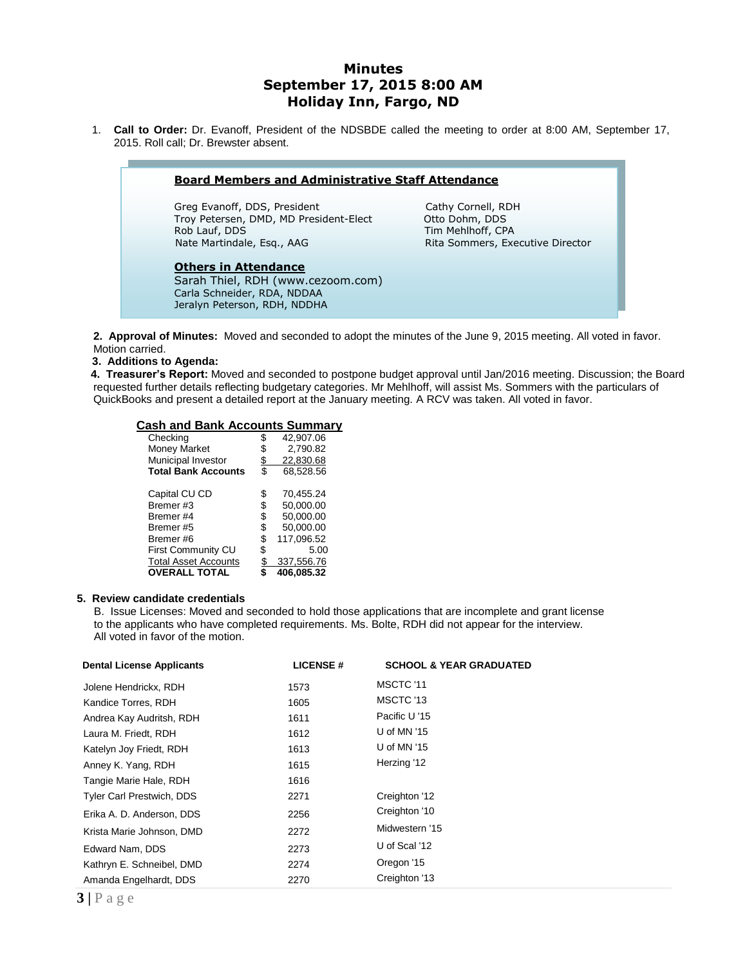# **Minutes September 17, 2015 8:00 AM Holiday Inn, Fargo, ND**

1. **Call to Order:** Dr. Evanoff, President of the NDSBDE called the meeting to order at 8:00 AM, September 17, 2015. Roll call; Dr. Brewster absent.

| <b>Board Members and Administrative Staff Attendance</b>                                                                        |                                                                                               |  |  |
|---------------------------------------------------------------------------------------------------------------------------------|-----------------------------------------------------------------------------------------------|--|--|
| Greg Evanoff, DDS, President<br>Troy Petersen, DMD, MD President-Elect<br>Rob Lauf, DDS<br>Nate Martindale, Esg., AAG           | Cathy Cornell, RDH<br>Otto Dohm, DDS<br>Tim Mehlhoff, CPA<br>Rita Sommers, Executive Director |  |  |
| <b>Others in Attendance</b><br>Sarah Thiel, RDH (www.cezoom.com)<br>Carla Schneider, RDA, NDDAA<br>Jeralyn Peterson, RDH, NDDHA |                                                                                               |  |  |

**2. Approval of Minutes:** Moved and seconded to adopt the minutes of the June 9, 2015 meeting. All voted in favor. Motion carried.

 **3. Additions to Agenda:** 

 **4. Treasurer's Report:** Moved and seconded to postpone budget approval until Jan/2016 meeting. Discussion; the Board requested further details reflecting budgetary categories. Mr Mehlhoff, will assist Ms. Sommers with the particulars of QuickBooks and present a detailed report at the January meeting. A RCV was taken. All voted in favor.

#### **Cash and Bank Accounts Summary**

| Checking                    |    | 42,907.06  |  |
|-----------------------------|----|------------|--|
| <b>Money Market</b>         |    | 2,790.82   |  |
| Municipal Investor          |    | 22,830.68  |  |
| <b>Total Bank Accounts</b>  | \$ | 68,528.56  |  |
|                             |    |            |  |
| Capital CU CD               | S  | 70,455.24  |  |
| Bremer#3                    | \$ | 50,000.00  |  |
| Bremer#4                    | \$ | 50,000.00  |  |
| Bremer#5                    | \$ | 50,000.00  |  |
| Bremer#6                    |    | 117.096.52 |  |
| <b>First Community CU</b>   | S  | 5.00       |  |
| <b>Total Asset Accounts</b> |    | 337,556.76 |  |
| <b>OVERALL TOTAL</b>        |    | 406.085.32 |  |

### **5. Review candidate credentials**

B. Issue Licenses: Moved and seconded to hold those applications that are incomplete and grant license to the applicants who have completed requirements. Ms. Bolte, RDH did not appear for the interview. All voted in favor of the motion.

| <b>Dental License Applicants</b> | <b>LICENSE#</b> | <b>SCHOOL &amp; YEAR GRADUATED</b> |
|----------------------------------|-----------------|------------------------------------|
| Jolene Hendrickx, RDH            | 1573            | MSCTC '11                          |
| Kandice Torres, RDH              | 1605            | MSCTC '13                          |
| Andrea Kay Audritsh, RDH         | 1611            | Pacific U '15                      |
| Laura M. Friedt, RDH             | 1612            | U of MN '15                        |
| Katelyn Joy Friedt, RDH          | 1613            | U of MN '15                        |
| Anney K. Yang, RDH               | 1615            | Herzing '12                        |
| Tangie Marie Hale, RDH           | 1616            |                                    |
| <b>Tyler Carl Prestwich, DDS</b> | 2271            | Creighton '12                      |
| Erika A. D. Anderson, DDS        | 2256            | Creighton '10                      |
| Krista Marie Johnson, DMD        | 2272            | Midwestern '15                     |
| Edward Nam, DDS                  | 2273            | U of Scal '12                      |
| Kathryn E. Schneibel, DMD        | 2274            | Oregon '15                         |
| Amanda Engelhardt, DDS           | 2270            | Creighton '13                      |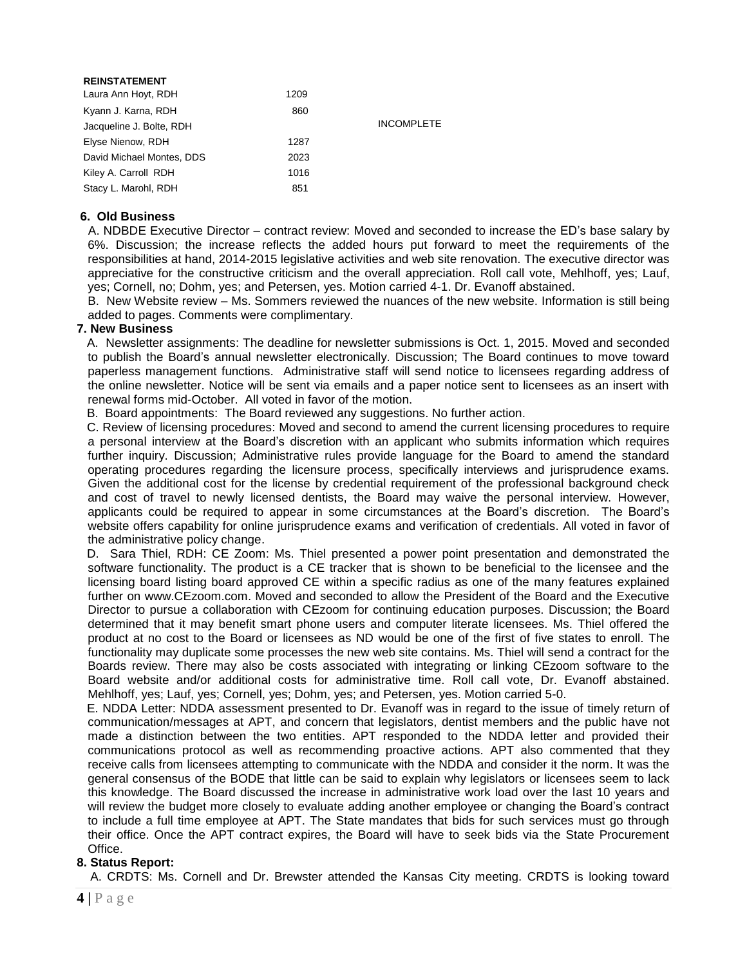| <b>REINSTATEMENT</b>      |      |                   |
|---------------------------|------|-------------------|
| Laura Ann Hoyt, RDH       | 1209 |                   |
| Kyann J. Karna, RDH       | 860  |                   |
| Jacqueline J. Bolte, RDH  |      | <b>INCOMPLETE</b> |
| Elyse Nienow, RDH         | 1287 |                   |
| David Michael Montes, DDS | 2023 |                   |
| Kiley A. Carroll RDH      | 1016 |                   |
| Stacy L. Marohl, RDH      | 851  |                   |

### **6. Old Business**

 A. NDBDE Executive Director – contract review: Moved and seconded to increase the ED's base salary by 6%. Discussion; the increase reflects the added hours put forward to meet the requirements of the responsibilities at hand, 2014-2015 legislative activities and web site renovation. The executive director was appreciative for the constructive criticism and the overall appreciation. Roll call vote, Mehlhoff, yes; Lauf, yes; Cornell, no; Dohm, yes; and Petersen, yes. Motion carried 4-1. Dr. Evanoff abstained.

B. New Website review – Ms. Sommers reviewed the nuances of the new website. Information is still being added to pages. Comments were complimentary.

### **7. New Business**

 A. Newsletter assignments: The deadline for newsletter submissions is Oct. 1, 2015. Moved and seconded to publish the Board's annual newsletter electronically. Discussion; The Board continues to move toward paperless management functions. Administrative staff will send notice to licensees regarding address of the online newsletter. Notice will be sent via emails and a paper notice sent to licensees as an insert with renewal forms mid-October. All voted in favor of the motion.

B. Board appointments: The Board reviewed any suggestions. No further action.

 C. Review of licensing procedures: Moved and second to amend the current licensing procedures to require a personal interview at the Board's discretion with an applicant who submits information which requires further inquiry. Discussion; Administrative rules provide language for the Board to amend the standard operating procedures regarding the licensure process, specifically interviews and jurisprudence exams. Given the additional cost for the license by credential requirement of the professional background check and cost of travel to newly licensed dentists, the Board may waive the personal interview. However, applicants could be required to appear in some circumstances at the Board's discretion. The Board's website offers capability for online jurisprudence exams and verification of credentials. All voted in favor of the administrative policy change.

 D. Sara Thiel, RDH: CE Zoom: Ms. Thiel presented a power point presentation and demonstrated the software functionality. The product is a CE tracker that is shown to be beneficial to the licensee and the licensing board listing board approved CE within a specific radius as one of the many features explained further on [www.CEzoom.com.](http://www.cezoom.com/) Moved and seconded to allow the President of the Board and the Executive Director to pursue a collaboration with CEzoom for continuing education purposes. Discussion; the Board determined that it may benefit smart phone users and computer literate licensees. Ms. Thiel offered the product at no cost to the Board or licensees as ND would be one of the first of five states to enroll. The functionality may duplicate some processes the new web site contains. Ms. Thiel will send a contract for the Boards review. There may also be costs associated with integrating or linking CEzoom software to the Board website and/or additional costs for administrative time. Roll call vote, Dr. Evanoff abstained. Mehlhoff, yes; Lauf, yes; Cornell, yes; Dohm, yes; and Petersen, yes. Motion carried 5-0.

 E. NDDA Letter: NDDA assessment presented to Dr. Evanoff was in regard to the issue of timely return of communication/messages at APT, and concern that legislators, dentist members and the public have not made a distinction between the two entities. APT responded to the NDDA letter and provided their communications protocol as well as recommending proactive actions. APT also commented that they receive calls from licensees attempting to communicate with the NDDA and consider it the norm. It was the general consensus of the BODE that little can be said to explain why legislators or licensees seem to lack this knowledge. The Board discussed the increase in administrative work load over the last 10 years and will review the budget more closely to evaluate adding another employee or changing the Board's contract to include a full time employee at APT. The State mandates that bids for such services must go through their office. Once the APT contract expires, the Board will have to seek bids via the State Procurement Office.

## **8. Status Report:**

A. CRDTS: Ms. Cornell and Dr. Brewster attended the Kansas City meeting. CRDTS is looking toward